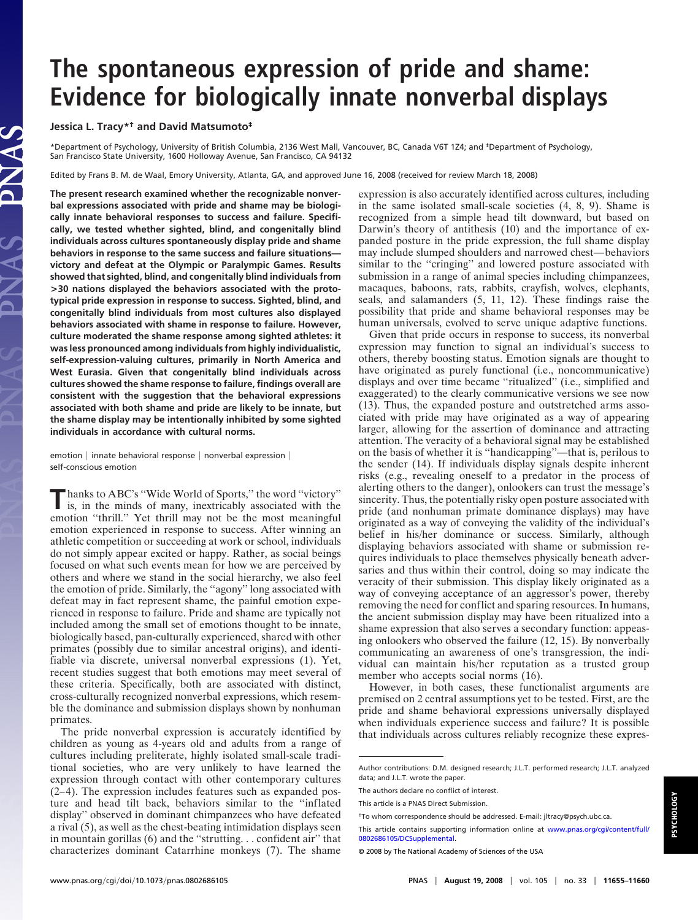## **The spontaneous expression of pride and shame: Evidence for biologically innate nonverbal displays**

**Jessica L. Tracy\*† and David Matsumoto‡**

\*Department of Psychology, University of British Columbia, 2136 West Mall, Vancouver, BC, Canada V6T 1Z4; and ‡Department of Psychology, San Francisco State University, 1600 Holloway Avenue, San Francisco, CA 94132

Edited by Frans B. M. de Waal, Emory University, Atlanta, GA, and approved June 16, 2008 (received for review March 18, 2008)

**The present research examined whether the recognizable nonverbal expressions associated with pride and shame may be biologically innate behavioral responses to success and failure. Specifically, we tested whether sighted, blind, and congenitally blind individuals across cultures spontaneously display pride and shame behaviors in response to the same success and failure situations victory and defeat at the Olympic or Paralympic Games. Results showed that sighted, blind, and congenitally blind individuals from >30 nations displayed the behaviors associated with the prototypical pride expression in response to success. Sighted, blind, and congenitally blind individuals from most cultures also displayed behaviors associated with shame in response to failure. However, culture moderated the shame response among sighted athletes: it was less pronounced among individuals from highly individualistic, self-expression-valuing cultures, primarily in North America and West Eurasia. Given that congenitally blind individuals across cultures showed the shame response to failure, findings overall are consistent with the suggestion that the behavioral expressions associated with both shame and pride are likely to be innate, but the shame display may be intentionally inhibited by some sighted individuals in accordance with cultural norms.**

emotion | innate behavioral response | nonverbal expression | self-conscious emotion

**Thanks to ABC's "Wide World of Sports," the word "victory"**<br>is, in the minds of many, inextricably associated with the emotion ''thrill.'' Yet thrill may not be the most meaningful emotion experienced in response to success. After winning an athletic competition or succeeding at work or school, individuals do not simply appear excited or happy. Rather, as social beings focused on what such events mean for how we are perceived by others and where we stand in the social hierarchy, we also feel the emotion of pride. Similarly, the ''agony'' long associated with defeat may in fact represent shame, the painful emotion experienced in response to failure. Pride and shame are typically not included among the small set of emotions thought to be innate, biologically based, pan-culturally experienced, shared with other primates (possibly due to similar ancestral origins), and identifiable via discrete, universal nonverbal expressions (1). Yet, recent studies suggest that both emotions may meet several of these criteria. Specifically, both are associated with distinct, cross-culturally recognized nonverbal expressions, which resemble the dominance and submission displays shown by nonhuman primates.

The pride nonverbal expression is accurately identified by children as young as 4-years old and adults from a range of cultures including preliterate, highly isolated small-scale traditional societies, who are very unlikely to have learned the expression through contact with other contemporary cultures (2–4). The expression includes features such as expanded posture and head tilt back, behaviors similar to the ''inflated display'' observed in dominant chimpanzees who have defeated a rival (5), as well as the chest-beating intimidation displays seen in mountain gorillas (6) and the ''strutting. . . confident air'' that characterizes dominant Catarrhine monkeys (7). The shame

expression is also accurately identified across cultures, including in the same isolated small-scale societies (4, 8, 9). Shame is recognized from a simple head tilt downward, but based on Darwin's theory of antithesis (10) and the importance of expanded posture in the pride expression, the full shame display may include slumped shoulders and narrowed chest—behaviors similar to the ''cringing'' and lowered posture associated with submission in a range of animal species including chimpanzees, macaques, baboons, rats, rabbits, crayfish, wolves, elephants, seals, and salamanders (5, 11, 12). These findings raise the possibility that pride and shame behavioral responses may be human universals, evolved to serve unique adaptive functions.

Given that pride occurs in response to success, its nonverbal expression may function to signal an individual's success to others, thereby boosting status. Emotion signals are thought to have originated as purely functional (i.e., noncommunicative) displays and over time became ''ritualized'' (i.e., simplified and exaggerated) to the clearly communicative versions we see now (13). Thus, the expanded posture and outstretched arms associated with pride may have originated as a way of appearing larger, allowing for the assertion of dominance and attracting attention. The veracity of a behavioral signal may be established on the basis of whether it is ''handicapping''—that is, perilous to the sender (14). If individuals display signals despite inherent risks (e.g., revealing oneself to a predator in the process of alerting others to the danger), onlookers can trust the message's sincerity. Thus, the potentially risky open posture associated with pride (and nonhuman primate dominance displays) may have originated as a way of conveying the validity of the individual's belief in his/her dominance or success. Similarly, although displaying behaviors associated with shame or submission requires individuals to place themselves physically beneath adversaries and thus within their control, doing so may indicate the veracity of their submission. This display likely originated as a way of conveying acceptance of an aggressor's power, thereby removing the need for conflict and sparing resources. In humans, the ancient submission display may have been ritualized into a shame expression that also serves a secondary function: appeasing onlookers who observed the failure (12, 15). By nonverbally communicating an awareness of one's transgression, the individual can maintain his/her reputation as a trusted group member who accepts social norms (16).

However, in both cases, these functionalist arguments are premised on 2 central assumptions yet to be tested. First, are the pride and shame behavioral expressions universally displayed when individuals experience success and failure? It is possible that individuals across cultures reliably recognize these expres-

Author contributions: D.M. designed research; J.L.T. performed research; J.L.T. analyzed data; and J.L.T. wrote the paper.

The authors declare no conflict of interest.

This article is a PNAS Direct Submission.

<sup>†</sup>To whom correspondence should be addressed. E-mail: jltracy@psych.ubc.ca.

This article contains supporting information online at [www.pnas.org/cgi/content/full/](http://www.pnas.org/cgi/content/full/0802686105/DCSupplemental) [0802686105/DCSupplemental.](http://www.pnas.org/cgi/content/full/0802686105/DCSupplemental)

<sup>© 2008</sup> by The National Academy of Sciences of the USA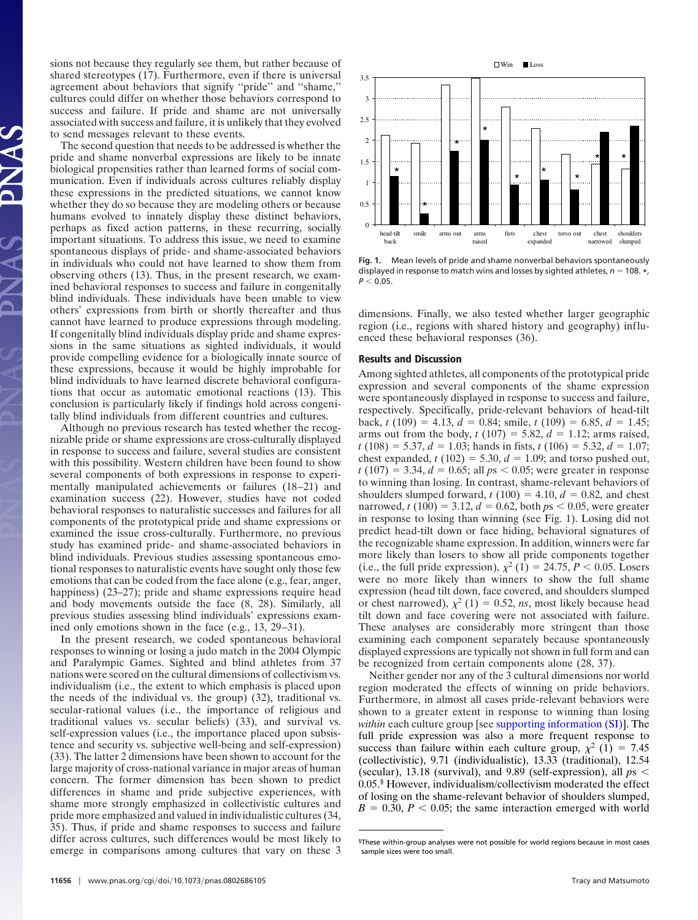sions not because they regularly see them, but rather because of shared stereotypes (17). Furthermore, even if there is universal agreement about behaviors that signify ''pride'' and ''shame,'' cultures could differ on whether those behaviors correspond to success and failure. If pride and shame are not universally associated with success and failure, it is unlikely that they evolved to send messages relevant to these events.

The second question that needs to be addressed is whether the pride and shame nonverbal expressions are likely to be innate biological propensities rather than learned forms of social communication. Even if individuals across cultures reliably display these expressions in the predicted situations, we cannot know whether they do so because they are modeling others or because humans evolved to innately display these distinct behaviors, perhaps as fixed action patterns, in these recurring, socially important situations. To address this issue, we need to examine spontaneous displays of pride- and shame-associated behaviors in individuals who could not have learned to show them from observing others (13). Thus, in the present research, we examined behavioral responses to success and failure in congenitally blind individuals. These individuals have been unable to view others' expressions from birth or shortly thereafter and thus cannot have learned to produce expressions through modeling. If congenitally blind individuals display pride and shame expressions in the same situations as sighted individuals, it would provide compelling evidence for a biologically innate source of these expressions, because it would be highly improbable for blind individuals to have learned discrete behavioral configurations that occur as automatic emotional reactions (13). This conclusion is particularly likely if findings hold across congenitally blind individuals from different countries and cultures.

Although no previous research has tested whether the recognizable pride or shame expressions are cross-culturally displayed in response to success and failure, several studies are consistent with this possibility. Western children have been found to show several components of both expressions in response to experimentally manipulated achievements or failures (18–21) and examination success (22). However, studies have not coded behavioral responses to naturalistic successes and failures for all components of the prototypical pride and shame expressions or examined the issue cross-culturally. Furthermore, no previous study has examined pride- and shame-associated behaviors in blind individuals. Previous studies assessing spontaneous emotional responses to naturalistic events have sought only those few emotions that can be coded from the face alone (e.g., fear, anger, happiness) (23–27); pride and shame expressions require head and body movements outside the face (8, 28). Similarly, all previous studies assessing blind individuals' expressions examined only emotions shown in the face (e.g., 13, 29–31).

In the present research, we coded spontaneous behavioral responses to winning or losing a judo match in the 2004 Olympic and Paralympic Games. Sighted and blind athletes from 37 nations were scored on the cultural dimensions of collectivism vs. individualism (i.e., the extent to which emphasis is placed upon the needs of the individual vs. the group) (32), traditional vs. secular-rational values (i.e., the importance of religious and traditional values vs. secular beliefs) (33), and survival vs. self-expression values (i.e., the importance placed upon subsistence and security vs. subjective well-being and self-expression) (33). The latter 2 dimensions have been shown to account for the large majority of cross-national variance in major areas of human concern. The former dimension has been shown to predict differences in shame and pride subjective experiences, with shame more strongly emphasized in collectivistic cultures and pride more emphasized and valued in individualistic cultures (34, 35). Thus, if pride and shame responses to success and failure differ across cultures, such differences would be most likely to emerge in comparisons among cultures that vary on these 3



**Fig. 1.** Mean levels of pride and shame nonverbal behaviors spontaneously displayed in response to match wins and losses by sighted athletes,  $n = 108$ . **\***,  $P < 0.05$ .

dimensions. Finally, we also tested whether larger geographic region (i.e., regions with shared history and geography) influenced these behavioral responses (36).

## **Results and Discussion**

Among sighted athletes, all components of the prototypical pride expression and several components of the shame expression were spontaneously displayed in response to success and failure, respectively. Specifically, pride-relevant behaviors of head-tilt back, *t* (109) = 4.13,  $d = 0.84$ ; smile, *t* (109) = 6.85,  $d = 1.45$ ; arms out from the body,  $t(107) = 5.82$ ,  $d = 1.12$ ; arms raised,  $t(108) = 5.37, d = 1.03$ ; hands in fists,  $t(106) = 5.32, d = 1.07$ ; chest expanded,  $t(102) = 5.30$ ,  $d = 1.09$ ; and torso pushed out,  $t(107) = 3.34, d = 0.65$ ; all  $ps < 0.05$ ; were greater in response to winning than losing. In contrast, shame-relevant behaviors of shoulders slumped forward,  $t(100) = 4.10$ ,  $d = 0.82$ , and chest narrowed,  $t(100) = 3.12, d = 0.62$ , both  $ps < 0.05$ , were greater in response to losing than winning (see Fig. 1). Losing did not predict head-tilt down or face hiding, behavioral signatures of the recognizable shame expression. In addition, winners were far more likely than losers to show all pride components together (i.e., the full pride expression),  $\chi^2$  (1) = 24.75, *P* < 0.05. Losers were no more likely than winners to show the full shame expression (head tilt down, face covered, and shoulders slumped or chest narrowed),  $\chi^2$  (1) = 0.52, *ns*, most likely because head tilt down and face covering were not associated with failure. These analyses are considerably more stringent than those examining each component separately because spontaneously displayed expressions are typically not shown in full form and can be recognized from certain components alone (28, 37).

Neither gender nor any of the 3 cultural dimensions nor world region moderated the effects of winning on pride behaviors. Furthermore, in almost all cases pride-relevant behaviors were shown to a greater extent in response to winning than losing *within* each culture group [see [supporting information \(SI\)\]](http://www.pnas.org/cgi/content/full/0802686105/DCSupplemental). The full pride expression was also a more frequent response to success than failure within each culture group,  $\chi^2$  (1) = 7.45 (collectivistic), 9.71 (individualistic), 13.33 (traditional), 12.54 (secular), 13.18 (survival), and  $9.89$  (self-expression), all  $ps <$ 0.05.§ However, individualism/collectivism moderated the effect of losing on the shame-relevant behavior of shoulders slumped,  $B = 0.30, P < 0.05$ ; the same interaction emerged with world

<sup>§</sup>These within-group analyses were not possible for world regions because in most cases sample sizes were too small.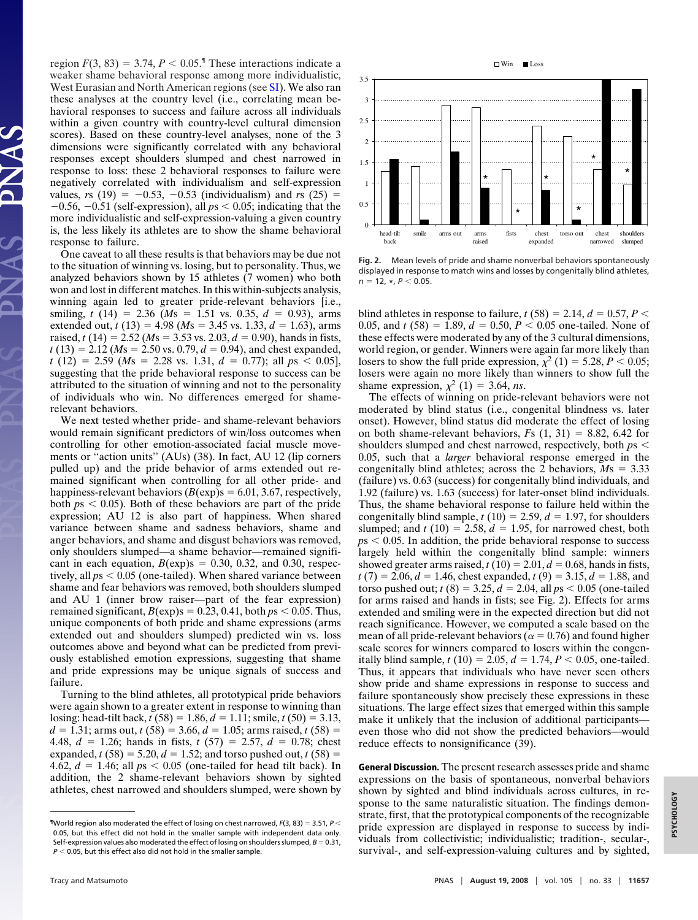region  $F(3, 83) = 3.74, P < 0.05$ .<sup>*'*</sup> These interactions indicate a weaker shame behavioral response among more individualistic, West Eurasian and North American regions (see [SI\)](http://www.pnas.org/cgi/content/full/0802686105/DCSupplemental). We also ran these analyses at the country level (i.e., correlating mean behavioral responses to success and failure across all individuals within a given country with country-level cultural dimension scores). Based on these country-level analyses, none of the 3 dimensions were significantly correlated with any behavioral responses except shoulders slumped and chest narrowed in response to loss: these 2 behavioral responses to failure were negatively correlated with individualism and self-expression values, *rs* (19) =  $-0.53$ ,  $-0.53$  (individualism) and *rs* (25) =  $-0.56$ ,  $-0.51$  (self-expression), all  $ps < 0.05$ ; indicating that the more individualistic and self-expression-valuing a given country is, the less likely its athletes are to show the shame behavioral response to failure.

One caveat to all these results is that behaviors may be due not to the situation of winning vs. losing, but to personality. Thus, we analyzed behaviors shown by 15 athletes (7 women) who both won and lost in different matches. In this within-subjects analysis, winning again led to greater pride-relevant behaviors [i.e., smiling,  $t(14) = 2.36$  (*Ms* = 1.51 vs. 0.35,  $d = 0.93$ ), arms extended out,  $t(13) = 4.98$  (*Ms* = 3.45 vs. 1.33,  $d = 1.63$ ), arms raised,  $t(14) = 2.52$  ( $Ms = 3.53$  vs. 2.03,  $d = 0.90$ ), hands in fists,  $t(13) = 2.12$  (*Ms* = 2.50 vs. 0.79,  $d = 0.94$ ), and chest expanded,  $t(12) = 2.59$  (*Ms* = 2.28 vs. 1.31,  $d = 0.77$ ); all  $ps < 0.05$ ], suggesting that the pride behavioral response to success can be attributed to the situation of winning and not to the personality of individuals who win. No differences emerged for shamerelevant behaviors.

We next tested whether pride- and shame-relevant behaviors would remain significant predictors of win/loss outcomes when controlling for other emotion-associated facial muscle movements or ''action units'' (AUs) (38). In fact, AU 12 (lip corners pulled up) and the pride behavior of arms extended out remained significant when controlling for all other pride- and happiness-relevant behaviors  $(B(\exp)s = 6.01, 3.67,$  respectively, both  $ps < 0.05$ ). Both of these behaviors are part of the pride expression; AU 12 is also part of happiness. When shared variance between shame and sadness behaviors, shame and anger behaviors, and shame and disgust behaviors was removed, only shoulders slumped—a shame behavior—remained significant in each equation,  $B(\exp)s = 0.30, 0.32,$  and 0.30, respectively, all  $ps < 0.05$  (one-tailed). When shared variance between shame and fear behaviors was removed, both shoulders slumped and AU 1 (inner brow raiser—part of the fear expression) remained significant,  $B(\exp)s = 0.23, 0.41, \text{both } ps < 0.05$ . Thus, unique components of both pride and shame expressions (arms extended out and shoulders slumped) predicted win vs. loss outcomes above and beyond what can be predicted from previously established emotion expressions, suggesting that shame and pride expressions may be unique signals of success and failure.

Turning to the blind athletes, all prototypical pride behaviors were again shown to a greater extent in response to winning than losing: head-tilt back,  $t(58) = 1.86$ ,  $d = 1.11$ ; smile,  $t(50) = 3.13$ ,  $d = 1.31$ ; arms out,  $t(58) = 3.66$ ,  $d = 1.05$ ; arms raised,  $t(58) =$ 4.48,  $d = 1.26$ ; hands in fists,  $t(57) = 2.57$ ,  $d = 0.78$ ; chest expanded,  $t(58) = 5.20, d = 1.52$ ; and torso pushed out,  $t(58) =$ 4.62,  $d = 1.46$ ; all  $ps < 0.05$  (one-tailed for head tilt back). In addition, the 2 shame-relevant behaviors shown by sighted athletes, chest narrowed and shoulders slumped, were shown by



**Fig. 2.** Mean levels of pride and shame nonverbal behaviors spontaneously displayed in response to match wins and losses by congenitally blind athletes,  $n = 12, *, P < 0.05.$ 

blind athletes in response to failure,  $t(58) = 2.14$ ,  $d = 0.57$ ,  $P \le$ 0.05, and  $t(58) = 1.89$ ,  $d = 0.50$ ,  $P < 0.05$  one-tailed. None of these effects were moderated by any of the 3 cultural dimensions, world region, or gender. Winners were again far more likely than losers to show the full pride expression,  $\chi^2$  (1) = 5.28, *P* < 0.05; losers were again no more likely than winners to show full the shame expression,  $\chi^2$  (1) = 3.64, *ns*.

The effects of winning on pride-relevant behaviors were not moderated by blind status (i.e., congenital blindness vs. later onset). However, blind status did moderate the effect of losing on both shame-relevant behaviors,  $F_s$   $(1, 31) = 8.82, 6.42$  for shoulders slumped and chest narrowed, respectively, both  $ps <$ 0.05, such that a *larger* behavioral response emerged in the congenitally blind athletes; across the 2 behaviors,  $Ms = 3.33$ (failure) vs. 0.63 (success) for congenitally blind individuals, and 1.92 (failure) vs. 1.63 (success) for later-onset blind individuals. Thus, the shame behavioral response to failure held within the congenitally blind sample,  $t(10) = 2.59$ ,  $d = 1.97$ , for shoulders slumped; and  $t(10) = 2.58$ ,  $d = 1.95$ , for narrowed chest, both  $p<sub>8</sub> < 0.05$ . In addition, the pride behavioral response to success largely held within the congenitally blind sample: winners showed greater arms raised,  $t(10) = 2.01$ ,  $d = 0.68$ , hands in fists,  $t(7) = 2.06, d = 1.46$ , chest expanded,  $t(9) = 3.15, d = 1.88$ , and torso pushed out;  $t(8) = 3.25, d = 2.04, \text{ all } ps < 0.05$  (one-tailed for arms raised and hands in fists; see Fig. 2). Effects for arms extended and smiling were in the expected direction but did not reach significance. However, we computed a scale based on the mean of all pride-relevant behaviors ( $\alpha = 0.76$ ) and found higher scale scores for winners compared to losers within the congenitally blind sample,  $t(10) = 2.05$ ,  $d = 1.74$ ,  $P < 0.05$ , one-tailed. Thus, it appears that individuals who have never seen others show pride and shame expressions in response to success and failure spontaneously show precisely these expressions in these situations. The large effect sizes that emerged within this sample make it unlikely that the inclusion of additional participants even those who did not show the predicted behaviors—would reduce effects to nonsignificance (39).

**General Discussion.** The present research assesses pride and shame expressions on the basis of spontaneous, nonverbal behaviors shown by sighted and blind individuals across cultures, in response to the same naturalistic situation. The findings demonstrate, first, that the prototypical components of the recognizable pride expression are displayed in response to success by individuals from collectivistic; individualistic; tradition-, secular-, survival-, and self-expression-valuing cultures and by sighted,

**T**World region also moderated the effect of losing on chest narrowed,  $F(3, 83) = 3.51$ ,  $P \le$ 0.05, but this effect did not hold in the smaller sample with independent data only. Self-expression values also moderated the effect of losing on shoulders slumped,  $B = 0.31$ ,  $P < 0.05$ , but this effect also did not hold in the smaller sample.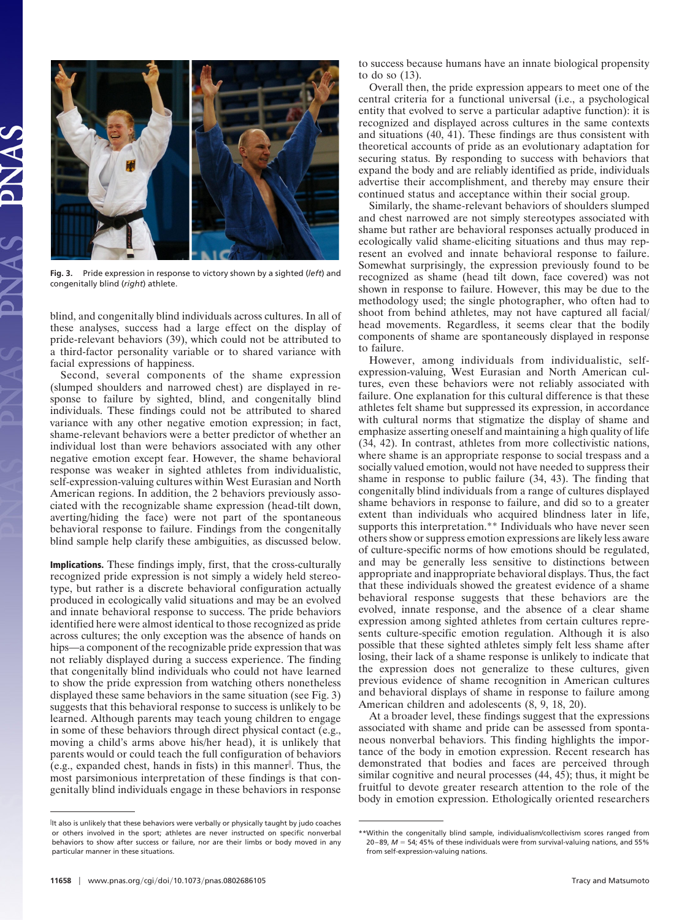

**Fig. 3.** Pride expression in response to victory shown by a sighted (*left*) and congenitally blind (*right*) athlete.

blind, and congenitally blind individuals across cultures. In all of these analyses, success had a large effect on the display of pride-relevant behaviors (39), which could not be attributed to a third-factor personality variable or to shared variance with facial expressions of happiness.

Second, several components of the shame expression (slumped shoulders and narrowed chest) are displayed in response to failure by sighted, blind, and congenitally blind individuals. These findings could not be attributed to shared variance with any other negative emotion expression; in fact, shame-relevant behaviors were a better predictor of whether an individual lost than were behaviors associated with any other negative emotion except fear. However, the shame behavioral response was weaker in sighted athletes from individualistic, self-expression-valuing cultures within West Eurasian and North American regions. In addition, the 2 behaviors previously associated with the recognizable shame expression (head-tilt down, averting/hiding the face) were not part of the spontaneous behavioral response to failure. Findings from the congenitally blind sample help clarify these ambiguities, as discussed below.

**Implications.** These findings imply, first, that the cross-culturally recognized pride expression is not simply a widely held stereotype, but rather is a discrete behavioral configuration actually produced in ecologically valid situations and may be an evolved and innate behavioral response to success. The pride behaviors identified here were almost identical to those recognized as pride across cultures; the only exception was the absence of hands on hips—a component of the recognizable pride expression that was not reliably displayed during a success experience. The finding that congenitally blind individuals who could not have learned to show the pride expression from watching others nonetheless displayed these same behaviors in the same situation (see Fig. 3) suggests that this behavioral response to success is unlikely to be learned. Although parents may teach young children to engage in some of these behaviors through direct physical contact (e.g., moving a child's arms above his/her head), it is unlikely that parents would or could teach the full configuration of behaviors (e.g., expanded chest, hands in fists) in this manner . Thus, the most parsimonious interpretation of these findings is that congenitally blind individuals engage in these behaviors in response

to success because humans have an innate biological propensity to do so (13).

Overall then, the pride expression appears to meet one of the central criteria for a functional universal (i.e., a psychological entity that evolved to serve a particular adaptive function): it is recognized and displayed across cultures in the same contexts and situations (40, 41). These findings are thus consistent with theoretical accounts of pride as an evolutionary adaptation for securing status. By responding to success with behaviors that expand the body and are reliably identified as pride, individuals advertise their accomplishment, and thereby may ensure their continued status and acceptance within their social group.

Similarly, the shame-relevant behaviors of shoulders slumped and chest narrowed are not simply stereotypes associated with shame but rather are behavioral responses actually produced in ecologically valid shame-eliciting situations and thus may represent an evolved and innate behavioral response to failure. Somewhat surprisingly, the expression previously found to be recognized as shame (head tilt down, face covered) was not shown in response to failure. However, this may be due to the methodology used; the single photographer, who often had to shoot from behind athletes, may not have captured all facial/ head movements. Regardless, it seems clear that the bodily components of shame are spontaneously displayed in response to failure.

However, among individuals from individualistic, selfexpression-valuing, West Eurasian and North American cultures, even these behaviors were not reliably associated with failure. One explanation for this cultural difference is that these athletes felt shame but suppressed its expression, in accordance with cultural norms that stigmatize the display of shame and emphasize asserting oneself and maintaining a high quality of life (34, 42). In contrast, athletes from more collectivistic nations, where shame is an appropriate response to social trespass and a socially valued emotion, would not have needed to suppress their shame in response to public failure (34, 43). The finding that congenitally blind individuals from a range of cultures displayed shame behaviors in response to failure, and did so to a greater extent than individuals who acquired blindness later in life, supports this interpretation.<sup>\*\*</sup> Individuals who have never seen others show or suppress emotion expressions are likely less aware of culture-specific norms of how emotions should be regulated, and may be generally less sensitive to distinctions between appropriate and inappropriate behavioral displays. Thus, the fact that these individuals showed the greatest evidence of a shame behavioral response suggests that these behaviors are the evolved, innate response, and the absence of a clear shame expression among sighted athletes from certain cultures represents culture-specific emotion regulation. Although it is also possible that these sighted athletes simply felt less shame after losing, their lack of a shame response is unlikely to indicate that the expression does not generalize to these cultures, given previous evidence of shame recognition in American cultures and behavioral displays of shame in response to failure among American children and adolescents (8, 9, 18, 20).

At a broader level, these findings suggest that the expressions associated with shame and pride can be assessed from spontaneous nonverbal behaviors. This finding highlights the importance of the body in emotion expression. Recent research has demonstrated that bodies and faces are perceived through similar cognitive and neural processes (44, 45); thus, it might be fruitful to devote greater research attention to the role of the body in emotion expression. Ethologically oriented researchers

 $^{\parallel}$ It also is unlikely that these behaviors were verbally or physically taught by judo coaches or others involved in the sport; athletes are never instructed on specific nonverbal behaviors to show after success or failure, nor are their limbs or body moved in any particular manner in these situations.

<sup>\*\*</sup>Within the congenitally blind sample, individualism/collectivism scores ranged from  $20-89$ ,  $M = 54$ ; 45% of these individuals were from survival-valuing nations, and 55% from self-expression-valuing nations.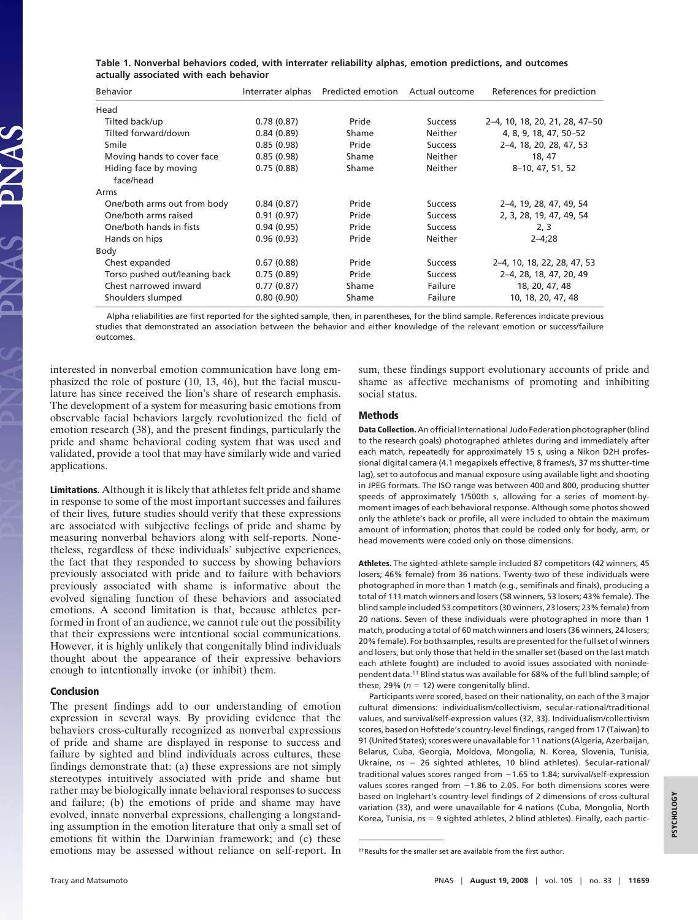|                                        |  |  |  | Table 1. Nonverbal behaviors coded, with interrater reliability alphas, emotion predictions, and outcomes |  |
|----------------------------------------|--|--|--|-----------------------------------------------------------------------------------------------------------|--|
| actually associated with each behavior |  |  |  |                                                                                                           |  |

| <b>Behavior</b>                    | Interrater alphas | Predicted emotion Actual outcome |                | References for prediction      |
|------------------------------------|-------------------|----------------------------------|----------------|--------------------------------|
| Head                               |                   |                                  |                |                                |
| Tilted back/up                     | 0.78(0.87)        | Pride                            | <b>Success</b> | 2-4, 10, 18, 20, 21, 28, 47-50 |
| Tilted forward/down                | 0.84(0.89)        | Shame                            | Neither        | 4, 8, 9, 18, 47, 50-52         |
| Smile                              | 0.85(0.98)        | Pride                            | <b>Success</b> | 2-4, 18, 20, 28, 47, 53        |
| Moving hands to cover face         | 0.85(0.98)        | Shame                            | Neither        | 18, 47                         |
| Hiding face by moving<br>face/head | 0.75(0.88)        | Shame                            | Neither        | 8-10, 47, 51, 52               |
| Arms                               |                   |                                  |                |                                |
| One/both arms out from body        | 0.84(0.87)        | Pride                            | <b>Success</b> | 2-4, 19, 28, 47, 49, 54        |
| One/both arms raised               | 0.91(0.97)        | Pride                            | <b>Success</b> | 2, 3, 28, 19, 47, 49, 54       |
| One/both hands in fists            | 0.94(0.95)        | Pride                            | <b>Success</b> | 2, 3                           |
| Hands on hips                      | 0.96(0.93)        | Pride                            | Neither        | $2 - 4; 28$                    |
| Body                               |                   |                                  |                |                                |
| Chest expanded                     | 0.67(0.88)        | Pride                            | <b>Success</b> | 2–4, 10, 18, 22, 28, 47, 53    |
| Torso pushed out/leaning back      | 0.75(0.89)        | Pride                            | <b>Success</b> | 2-4, 28, 18, 47, 20, 49        |
| Chest narrowed inward              | 0.77(0.87)        | Shame                            | Failure        | 18, 20, 47, 48                 |
| Shoulders slumped                  | 0.80(0.90)        | Shame                            | Failure        | 10, 18, 20, 47, 48             |

Alpha reliabilities are first reported for the sighted sample, then, in parentheses, for the blind sample. References indicate previous studies that demonstrated an association between the behavior and either knowledge of the relevant emotion or success/failure outcomes.

interested in nonverbal emotion communication have long emphasized the role of posture (10, 13, 46), but the facial musculature has since received the lion's share of research emphasis. The development of a system for measuring basic emotions from observable facial behaviors largely revolutionized the field of emotion research (38), and the present findings, particularly the pride and shame behavioral coding system that was used and validated, provide a tool that may have similarly wide and varied applications.

**Limitations.** Although it is likely that athletes felt pride and shame in response to some of the most important successes and failures of their lives, future studies should verify that these expressions are associated with subjective feelings of pride and shame by measuring nonverbal behaviors along with self-reports. Nonetheless, regardless of these individuals' subjective experiences, the fact that they responded to success by showing behaviors previously associated with pride and to failure with behaviors previously associated with shame is informative about the evolved signaling function of these behaviors and associated emotions. A second limitation is that, because athletes performed in front of an audience, we cannot rule out the possibility that their expressions were intentional social communications. However, it is highly unlikely that congenitally blind individuals thought about the appearance of their expressive behaviors enough to intentionally invoke (or inhibit) them.

## **Conclusion**

The present findings add to our understanding of emotion expression in several ways. By providing evidence that the behaviors cross-culturally recognized as nonverbal expressions of pride and shame are displayed in response to success and failure by sighted and blind individuals across cultures, these findings demonstrate that: (a) these expressions are not simply stereotypes intuitively associated with pride and shame but rather may be biologically innate behavioral responses to success and failure; (b) the emotions of pride and shame may have evolved, innate nonverbal expressions, challenging a longstanding assumption in the emotion literature that only a small set of emotions fit within the Darwinian framework; and (c) these emotions may be assessed without reliance on self-report. In sum, these findings support evolutionary accounts of pride and shame as affective mechanisms of promoting and inhibiting social status.

## **Methods**

**Data Collection.** An official International Judo Federation photographer (blind to the research goals) photographed athletes during and immediately after each match, repeatedly for approximately 15 s, using a Nikon D2H professional digital camera (4.1 megapixels effective, 8 frames/s, 37 ms shutter-time lag), set to autofocus and manual exposure using available light and shooting in JPEG formats. The ISO range was between 400 and 800, producing shutter speeds of approximately 1/500th s, allowing for a series of moment-bymoment images of each behavioral response. Although some photos showed only the athlete's back or profile, all were included to obtain the maximum amount of information; photos that could be coded only for body, arm, or head movements were coded only on those dimensions.

**Athletes.** The sighted-athlete sample included 87 competitors (42 winners, 45 losers; 46% female) from 36 nations. Twenty-two of these individuals were photographed in more than 1 match (e.g., semifinals and finals), producing a total of 111 match winners and losers (58 winners, 53 losers; 43% female). The blind sample included 53 competitors (30 winners, 23 losers; 23% female) from 20 nations. Seven of these individuals were photographed in more than 1 match, producing a total of 60 match winners and losers (36 winners, 24 losers; 20% female). For both samples, results are presented for the full set of winners and losers, but only those that held in the smaller set (based on the last match each athlete fought) are included to avoid issues associated with nonindependent data.†† Blind status was available for 68% of the full blind sample; of these, 29% ( $n = 12$ ) were congenitally blind.

Participants were scored, based on their nationality, on each of the 3 major cultural dimensions: individualism/collectivism, secular-rational/traditional values, and survival/self-expression values (32, 33). Individualism/collectivism scores, based on Hofstede's country-level findings, ranged from 17 (Taiwan) to 91 (United States); scores were unavailable for 11 nations (Algeria, Azerbaijan, Belarus, Cuba, Georgia, Moldova, Mongolia, N. Korea, Slovenia, Tunisia, Ukraine,  $ns = 26$  sighted athletes, 10 blind athletes). Secular-rational/ traditional values scores ranged from  $-1.65$  to 1.84; survival/self-expression values scores ranged from  $-1.86$  to 2.05. For both dimensions scores were based on Inglehart's country-level findings of 2 dimensions of cross-cultural variation (33), and were unavailable for 4 nations (Cuba, Mongolia, North Korea, Tunisia,  $ns = 9$  sighted athletes, 2 blind athletes). Finally, each partic-

**PSYCHOLOGY**PSYCHOLOGY

<sup>††</sup>Results for the smaller set are available from the first author.